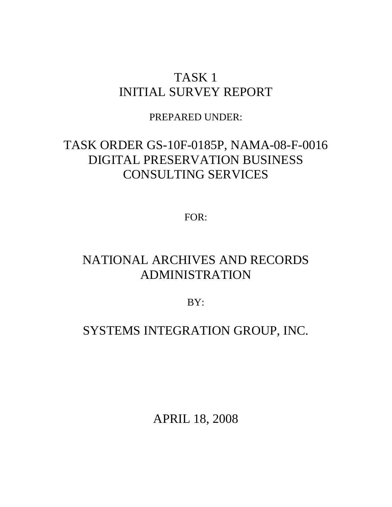## TASK 1 INITIAL SURVEY REPORT

PREPARED UNDER:

# TASK ORDER GS-10F-0185P, NAMA-08-F-0016 DIGITAL PRESERVATION BUSINESS CONSULTING SERVICES

FOR:

# NATIONAL ARCHIVES AND RECORDS ADMINISTRATION

BY:

## SYSTEMS INTEGRATION GROUP, INC.

APRIL 18, 2008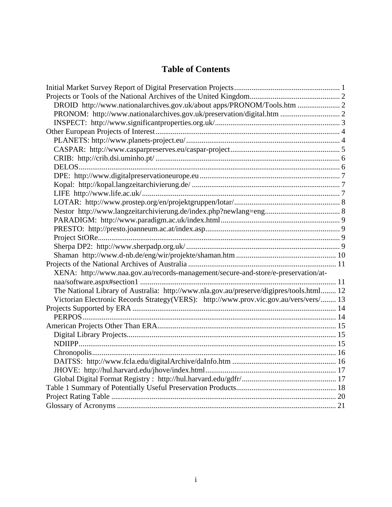## **Table of Contents**

| DROID http://www.nationalarchives.gov.uk/about apps/PRONOM/Tools.htm  2                  |  |
|------------------------------------------------------------------------------------------|--|
| PRONOM: http://www.nationalarchives.gov.uk/preservation/digital.htm  2                   |  |
|                                                                                          |  |
|                                                                                          |  |
|                                                                                          |  |
|                                                                                          |  |
|                                                                                          |  |
|                                                                                          |  |
|                                                                                          |  |
|                                                                                          |  |
|                                                                                          |  |
|                                                                                          |  |
|                                                                                          |  |
|                                                                                          |  |
|                                                                                          |  |
|                                                                                          |  |
|                                                                                          |  |
|                                                                                          |  |
|                                                                                          |  |
| XENA: http://www.naa.gov.au/records-management/secure-and-store/e-preservation/at-       |  |
|                                                                                          |  |
| The National Library of Australia: http://www.nla.gov.au/preserve/digipres/tools.html 12 |  |
| Victorian Electronic Records Strategy(VERS): http://www.prov.vic.gov.au/vers/vers/ 13    |  |
|                                                                                          |  |
|                                                                                          |  |
|                                                                                          |  |
|                                                                                          |  |
|                                                                                          |  |
|                                                                                          |  |
|                                                                                          |  |
|                                                                                          |  |
|                                                                                          |  |
|                                                                                          |  |
|                                                                                          |  |
|                                                                                          |  |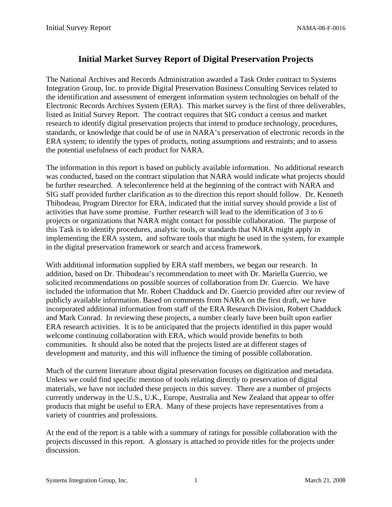## **Initial Market Survey Report of Digital Preservation Projects**

<span id="page-2-0"></span>The National Archives and Records Administration awarded a Task Order contract to Systems Integration Group, Inc. to provide Digital Preservation Business Consulting Services related to the identification and assessment of emergent information system technologies on behalf of the Electronic Records Archives System (ERA). This market survey is the first of three deliverables, listed as Initial Survey Report. The contract requires that SIG conduct a census and market research to identify digital preservation projects that intend to produce technology, procedures, standards, or knowledge that could be of use in NARA's preservation of electronic records in the ERA system; to identify the types of products, noting assumptions and restraints; and to assess the potential usefulness of each product for NARA.

The information in this report is based on publicly available information. No additional research was conducted, based on the contract stipulation that NARA would indicate what projects should be further researched. A teleconference held at the beginning of the contract with NARA and SIG staff provided further clarification as to the direction this report should follow. Dr. Kenneth Thibodeau, Program Director for ERA, indicated that the initial survey should provide a list of activities that have some promise. Further research will lead to the identification of 3 to 6 projects or organizations that NARA might contact for possible collaboration. The purpose of this Task is to identify procedures, analytic tools, or standards that NARA might apply in implementing the ERA system, and software tools that might be used in the system, for example in the digital preservation framework or search and access framework.

With additional information supplied by ERA staff members, we began our research. In addition, based on Dr. Thibodeau's recommendation to meet with Dr. Mariella Guercio, we solicited recommendations on possible sources of collaboration from Dr. Guercio. We have included the information that Mr. Robert Chadduck and Dr. Guercio provided after our review of publicly available information. Based on comments from NARA on the first draft, we have incorporated additional information from staff of the ERA Research Division, Robert Chadduck and Mark Conrad. In reviewing these projects, a number clearly have been built upon earlier ERA research activities. It is to be anticipated that the projects identified in this paper would welcome continuing collaboration with ERA, which would provide benefits to both communities. It should also be noted that the projects listed are at different stages of development and maturity, and this will influence the timing of possible collaboration.

Much of the current literature about digital preservation focuses on digitization and metadata. Unless we could find specific mention of tools relating directly to preservation of digital materials, we have not included these projects in this survey. There are a number of projects currently underway in the U.S., U.K., Europe, Australia and New Zealand that appear to offer products that might be useful to ERA. Many of these projects have representatives from a variety of countries and professions.

At the end of the report is a table with a summary of ratings for possible collaboration with the projects discussed in this report. A glossary is attached to provide titles for the projects under discussion.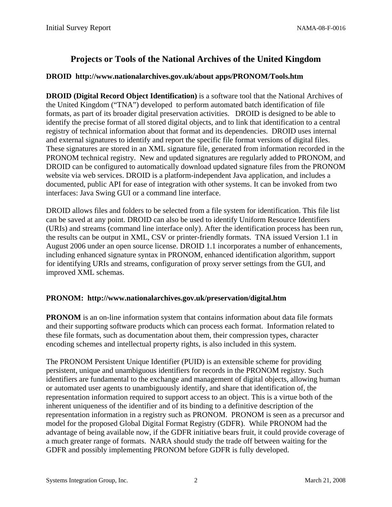## **Projects or Tools of the National Archives of the United Kingdom**

#### <span id="page-3-0"></span>**DROID http://www.nationalarchives.gov.uk/about apps/PRONOM/Tools.htm**

**DROID (Digital Record Object Identification)** is a software tool that the National Archives of the United Kingdom ("TNA") developed to perform automated batch identification of file formats, as part of its broader digital preservation activities. DROID is designed to be able to identify the precise format of all stored digital objects, and to link that identification to a central registry of technical information about that format and its dependencies. DROID uses internal and external signatures to identify and report the specific file format versions of digital files. These signatures are stored in an XML signature file, generated from information recorded in the PRONOM technical registry. New and updated signatures are regularly added to PRONOM, and DROID can be configured to automatically download updated signature files from the PRONOM website via web services. DROID is a platform-independent Java application, and includes a documented, public API for ease of integration with other systems. It can be invoked from two interfaces: Java Swing GUI or a command line interface.

DROID allows files and folders to be selected from a file system for identification. This file list can be saved at any point. DROID can also be used to identify Uniform Resource Identifiers (URIs) and streams (command line interface only). After the identification process has been run, the results can be output in XML, CSV or printer-friendly formats. TNA issued Version 1.1 in August 2006 under an open source license. DROID 1.1 incorporates a number of enhancements, including enhanced signature syntax in PRONOM, enhanced identification algorithm, support for identifying URIs and streams, configuration of proxy server settings from the GUI, and improved XML schemas.

#### **PRONOM: http://www.nationalarchives.gov.uk/preservation/digital.htm**

**PRONOM** is an on-line information system that contains information about data file formats and their supporting software products which can process each format. Information related to these file formats, such as documentation about them, their compression types, character encoding schemes and intellectual property rights, is also included in this system.

The PRONOM Persistent Unique Identifier (PUID) is an extensible scheme for providing persistent, unique and unambiguous identifiers for records in the PRONOM registry. Such identifiers are fundamental to the exchange and management of digital objects, allowing human or automated user agents to unambiguously identify, and share that identification of, the representation information required to support access to an object. This is a virtue both of the inherent uniqueness of the identifier and of its binding to a definitive description of the representation information in a registry such as PRONOM. PRONOM is seen as a precursor and model for the proposed Global Digital Format Registry (GDFR). While PRONOM had the advantage of being available now, if the GDFR initiative bears fruit, it could provide coverage of a much greater range of formats. NARA should study the trade off between waiting for the GDFR and possibly implementing PRONOM before GDFR is fully developed.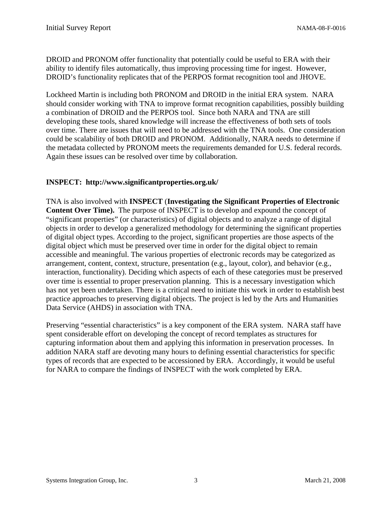DROID and PRONOM offer functionality that potentially could be useful to ERA with their ability to identify files automatically, thus improving processing time for ingest. However, DROID's functionality replicates that of the PERPOS format recognition tool and JHOVE.

Lockheed Martin is including both PRONOM and DROID in the initial ERA system. NARA should consider working with TNA to improve format recognition capabilities, possibly building a combination of DROID and the PERPOS tool. Since both NARA and TNA are still developing these tools, shared knowledge will increase the effectiveness of both sets of tools over time. There are issues that will need to be addressed with the TNA tools. One consideration could be scalability of both DROID and PRONOM. Additionally, NARA needs to determine if the metadata collected by PRONOM meets the requirements demanded for U.S. federal records. Again these issues can be resolved over time by collaboration.

#### **INSPECT: http://www.significantproperties.org.uk/**

TNA is also involved with **INSPECT** (**Investigating the Significant Properties of Electronic Content Over Time).** The purpose of INSPECT is to develop and expound the concept of "significant properties" (or characteristics) of digital objects and to analyze a range of digital objects in order to develop a generalized methodology for determining the significant properties of digital object types. According to the project, significant properties are those aspects of the digital object which must be preserved over time in order for the digital object to remain accessible and meaningful. The various properties of electronic records may be categorized as arrangement, content, context, structure, presentation (e.g., layout, color), and behavior (e.g., interaction, functionality). Deciding which aspects of each of these categories must be preserved over time is essential to proper preservation planning. This is a necessary investigation which has not yet been undertaken. There is a critical need to initiate this work in order to establish best practice approaches to preserving digital objects. The project is led by the Arts and Humanities Data Service (AHDS) in association with TNA.

Preserving "essential characteristics" is a key component of the ERA system. NARA staff have spent considerable effort on developing the concept of record templates as structures for capturing information about them and applying this information in preservation processes. In addition NARA staff are devoting many hours to defining essential characteristics for specific types of records that are expected to be accessioned by ERA. Accordingly, it would be useful for NARA to compare the findings of INSPECT with the work completed by ERA.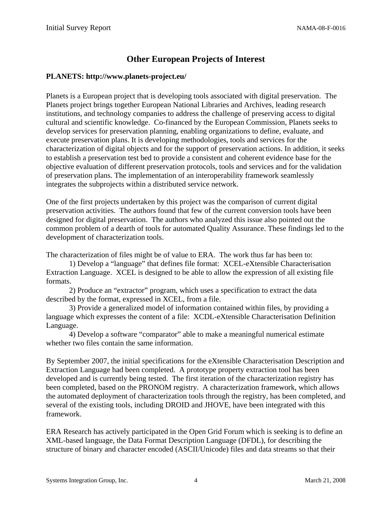## **Other European Projects of Interest**

#### <span id="page-5-0"></span>**PLANETS: http://www.planets-project.eu/**

Planets is a European project that is developing tools associated with digital preservation. The Planets project brings together European National Libraries and Archives, leading research institutions, and technology companies to address the challenge of preserving access to digital cultural and scientific knowledge. Co-financed by the European Commission, Planets seeks to develop services for preservation planning, enabling organizations to define, evaluate, and execute preservation plans. It is developing methodologies, tools and services for the characterization of digital objects and for the support of preservation actions. In addition, it seeks to establish a preservation test bed to provide a consistent and coherent evidence base for the objective evaluation of different preservation protocols, tools and services and for the validation of preservation plans. The implementation of an interoperability framework seamlessly integrates the subprojects within a distributed service network.

One of the first projects undertaken by this project was the comparison of current digital preservation activities. The authors found that few of the current conversion tools have been designed for digital preservation. The authors who analyzed this issue also pointed out the common problem of a dearth of tools for automated Quality Assurance. These findings led to the development of characterization tools.

The characterization of files might be of value to ERA. The work thus far has been to:

1) Develop a "language" that defines file format: XCEL-eXtensible Characterisation Extraction Language. XCEL is designed to be able to allow the expression of all existing file formats.

2) Produce an "extractor" program, which uses a specification to extract the data described by the format, expressed in XCEL, from a file.

3) Provide a generalized model of information contained within files, by providing a language which expresses the content of a file: XCDL-eXtensible Characterisation Definition Language.

4) Develop a software "comparator" able to make a meaningful numerical estimate whether two files contain the same information.

By September 2007, the initial specifications for the eXtensible Characterisation Description and Extraction Language had been completed. A prototype property extraction tool has been developed and is currently being tested. The first iteration of the characterization registry has been completed, based on the PRONOM registry. A characterization framework, which allows the automated deployment of characterization tools through the registry, has been completed, and several of the existing tools, including DROID and JHOVE, have been integrated with this framework.

ERA Research has actively participated in the Open Grid Forum which is seeking is to define an XML-based language, the Data Format Description Language (DFDL), for describing the structure of binary and character encoded (ASCII/Unicode) files and data streams so that their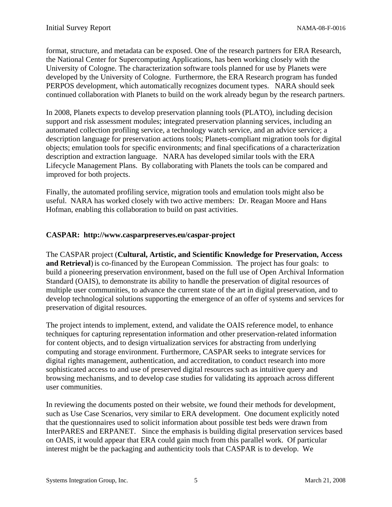format, structure, and metadata can be exposed. One of the research partners for ERA Research, the National Center for Supercomputing Applications, has been working closely with the University of Cologne. The characterization software tools planned for use by Planets were developed by the University of Cologne. Furthermore, the ERA Research program has funded PERPOS development, which automatically recognizes document types. NARA should seek continued collaboration with Planets to build on the work already begun by the research partners.

In 2008, Planets expects to develop preservation planning tools (PLATO), including decision support and risk assessment modules; integrated preservation planning services, including an automated collection profiling service, a technology watch service, and an advice service; a description language for preservation actions tools; Planets-compliant migration tools for digital objects; emulation tools for specific environments; and final specifications of a characterization description and extraction language. NARA has developed similar tools with the ERA Lifecycle Management Plans. By collaborating with Planets the tools can be compared and improved for both projects.

Finally, the automated profiling service, migration tools and emulation tools might also be useful. NARA has worked closely with two active members: Dr. Reagan Moore and Hans Hofman, enabling this collaboration to build on past activities.

#### **CASPAR: http://www.casparpreserves.eu/caspar-project**

The CASPAR project (**Cultural, Artistic, and Scientific Knowledge for Preservation, Access and Retrieval**) is co-financed by the European Commission. The project has four goals: to build a pioneering preservation environment, based on the full use of Open Archival Information Standard (OAIS), to demonstrate its ability to handle the preservation of digital resources of multiple user communities, to advance the current state of the art in digital preservation, and to develop technological solutions supporting the emergence of an offer of systems and services for preservation of digital resources.

The project intends to implement, extend, and validate the OAIS reference model, to enhance techniques for capturing representation information and other preservation-related information for content objects, and to design virtualization services for abstracting from underlying computing and storage environment. Furthermore, CASPAR seeks to integrate services for digital rights management, authentication, and accreditation, to conduct research into more sophisticated access to and use of preserved digital resources such as intuitive query and browsing mechanisms, and to develop case studies for validating its approach across different user communities.

In reviewing the documents posted on their website, we found their methods for development, such as Use Case Scenarios, very similar to ERA development. One document explicitly noted that the questionnaires used to solicit information about possible test beds were drawn from InterPARES and ERPANET. Since the emphasis is building digital preservation services based on OAIS, it would appear that ERA could gain much from this parallel work. Of particular interest might be the packaging and authenticity tools that CASPAR is to develop. We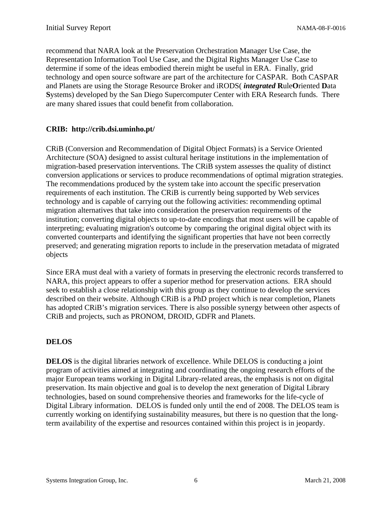<span id="page-7-0"></span>recommend that NARA look at the Preservation Orchestration Manager Use Case, the Representation Information Tool Use Case, and the Digital Rights Manager Use Case to determine if some of the ideas embodied therein might be useful in ERA. Finally, grid technology and open source software are part of the architecture for CASPAR. Both CASPAR and Planets are using the Storage Resource Broker and iRODS( *integrated* **R**ule**O**riented **D**ata **S**ystems) developed by the San Diego Supercomputer Center with ERA Research funds. There are many shared issues that could benefit from collaboration.

#### **CRIB: http://crib.dsi.uminho.pt/**

CRiB (Conversion and Recommendation of Digital Object Formats) is a Service Oriented Architecture (SOA) designed to assist cultural heritage institutions in the implementation of migration-based preservation interventions. The CRiB system assesses the quality of distinct conversion applications or services to produce recommendations of optimal migration strategies. The recommendations produced by the system take into account the specific preservation requirements of each institution. The CRiB is currently being supported by Web services technology and is capable of carrying out the following activities: recommending optimal migration alternatives that take into consideration the preservation requirements of the institution; converting digital objects to up-to-date encodings that most users will be capable of interpreting; evaluating migration's outcome by comparing the original digital object with its converted counterparts and identifying the significant properties that have not been correctly preserved; and generating migration reports to include in the preservation metadata of migrated objects

Since ERA must deal with a variety of formats in preserving the electronic records transferred to NARA, this project appears to offer a superior method for preservation actions. ERA should seek to establish a close relationship with this group as they continue to develop the services described on their website. Although CRiB is a PhD project which is near completion, Planets has adopted CRiB's migration services. There is also possible synergy between other aspects of CRiB and projects, such as PRONOM, DROID, GDFR and Planets.

#### **DELOS**

**DELOS** is the digital libraries network of excellence. While DELOS is conducting a joint program of activities aimed at integrating and coordinating the ongoing research efforts of the major European teams working in Digital Library-related areas, the emphasis is not on digital preservation. Its main objective and goal is to develop the next generation of Digital Library technologies, based on sound comprehensive theories and frameworks for the life-cycle of Digital Library information. DELOS is funded only until the end of 2008. The DELOS team is currently working on identifying sustainability measures, but there is no question that the longterm availability of the expertise and resources contained within this project is in jeopardy.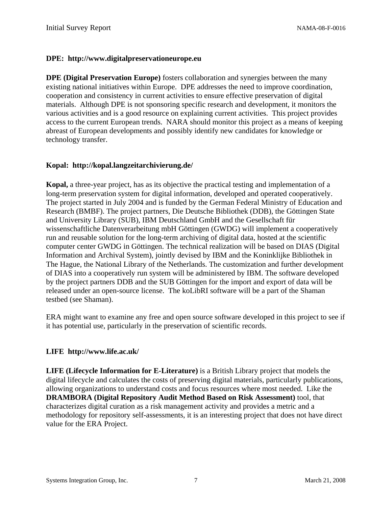#### **DPE: http://www.digitalpreservationeurope.eu**

**DPE (Digital Preservation Europe)** fosters collaboration and synergies between the many existing national initiatives within Europe. DPE addresses the need to improve coordination, cooperation and consistency in current activities to ensure effective preservation of digital materials. Although DPE is not sponsoring specific research and development, it monitors the various activities and is a good resource on explaining current activities. This project provides access to the current European trends. NARA should monitor this project as a means of keeping abreast of European developments and possibly identify new candidates for knowledge or technology transfer.

#### **Kopal: http://kopal.langzeitarchivierung.de/**

**Kopal,** a three-year project, has as its objective the practical testing and implementation of a long-term preservation system for digital information, developed and operated cooperatively. The project started in July 2004 and is funded by the German Federal Ministry of Education and Research (BMBF). The project partners, Die Deutsche Bibliothek (DDB), the Göttingen State and University Library (SUB), IBM Deutschland GmbH and the Gesellschaft für wissenschaftliche Datenverarbeitung mbH Göttingen (GWDG) will implement a cooperatively run and reusable solution for the long-term archiving of digital data, hosted at the scientific computer center GWDG in Göttingen. The technical realization will be based on DIAS (Digital Information and Archival System), jointly devised by IBM and the Koninklijke Bibliothek in The Hague, the National Library of the Netherlands. The customization and further development of DIAS into a cooperatively run system will be administered by IBM. The software developed by the project partners DDB and the SUB Göttingen for the import and export of data will be released under an open-source license. The koLibRI software will be a part of the Shaman testbed (see Shaman).

ERA might want to examine any free and open source software developed in this project to see if it has potential use, particularly in the preservation of scientific records.

#### **LIFE http://www.life.ac.uk/**

**LIFE (Lifecycle Information for E-Literature)** is a British Library project that models the digital lifecycle and calculates the costs of preserving digital materials, particularly publications, allowing organizations to understand costs and focus resources where most needed. Like the **DRAMBORA (Digital Repository Audit Method Based on Risk Assessment)** tool, that characterizes digital curation as a risk management activity and provides a metric and a methodology for repository self-assessments, it is an interesting project that does not have direct value for the ERA Project.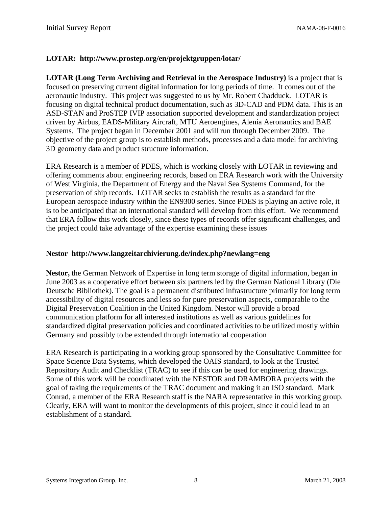#### **LOTAR: http://www.prostep.org/en/projektgruppen/lotar/**

**LOTAR (Long Term Archiving and Retrieval in the Aerospace Industry)** is a project that is focused on preserving current digital information for long periods of time. It comes out of the aeronautic industry. This project was suggested to us by Mr. Robert Chadduck. LOTAR is focusing on digital technical product documentation, such as 3D-CAD and PDM data. This is an ASD-STAN and ProSTEP IVIP association supported development and standardization project driven by Airbus, EADS-Military Aircraft, MTU Aeroengines, Alenia Aeronautics and BAE Systems. The project began in December 2001 and will run through December 2009. The objective of the project group is to establish methods, processes and a data model for archiving 3D geometry data and product structure information.

ERA Research is a member of PDES, which is working closely with LOTAR in reviewing and offering comments about engineering records, based on ERA Research work with the University of West Virginia, the Department of Energy and the Naval Sea Systems Command, for the preservation of ship records. LOTAR seeks to establish the results as a standard for the European aerospace industry within the EN9300 series. Since PDES is playing an active role, it is to be anticipated that an international standard will develop from this effort. We recommend that ERA follow this work closely, since these types of records offer significant challenges, and the project could take advantage of the expertise examining these issues

#### **Nestor http://www.langzeitarchivierung.de/index.php?newlang=eng**

**Nestor,** the German Network of Expertise in long term storage of digital information, began in June 2003 as a cooperative effort between six partners led by the German National Library (Die Deutsche Bibliothek). The goal is a permanent distributed infrastructure primarily for long term accessibility of digital resources and less so for pure preservation aspects, comparable to the Digital Preservation Coalition in the United Kingdom. Nestor will provide a broad communication platform for all interested institutions as well as various guidelines for standardized digital preservation policies and coordinated activities to be utilized mostly within Germany and possibly to be extended through international cooperation

ERA Research is participating in a working group sponsored by the Consultative Committee for Space Science Data Systems, which developed the OAIS standard, to look at the Trusted Repository Audit and Checklist (TRAC) to see if this can be used for engineering drawings. Some of this work will be coordinated with the NESTOR and DRAMBORA projects with the goal of taking the requirements of the TRAC document and making it an ISO standard. Mark Conrad, a member of the ERA Research staff is the NARA representative in this working group. Clearly, ERA will want to monitor the developments of this project, since it could lead to an establishment of a standard.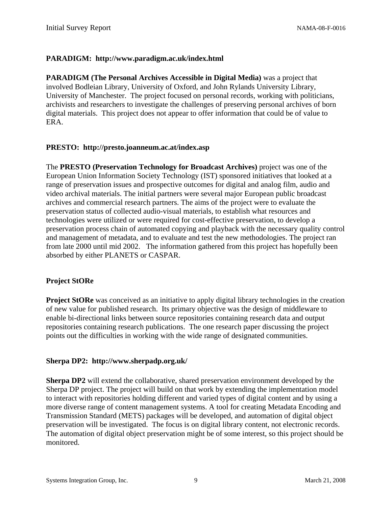#### <span id="page-10-0"></span>**PARADIGM: http://www.paradigm.ac.uk/index.html**

**PARADIGM (The Personal Archives Accessible in Digital Media)** was a project that involved Bodleian Library, University of Oxford, and John Rylands University Library, University of Manchester. The project focused on personal records, working with politicians, archivists and researchers to investigate the challenges of preserving personal archives of born digital materials. This project does not appear to offer information that could be of value to ERA.

#### **PRESTO: http://presto.joanneum.ac.at/index.asp**

The **PRESTO (Preservation Technology for Broadcast Archives)** project was one of the European Union Information Society Technology (IST) sponsored initiatives that looked at a range of preservation issues and prospective outcomes for digital and analog film, audio and video archival materials. The initial partners were several major European public broadcast archives and commercial research partners. The aims of the project were to evaluate the preservation status of collected audio-visual materials, to establish what resources and technologies were utilized or were required for cost-effective preservation, to develop a preservation process chain of automated copying and playback with the necessary quality control and management of metadata, and to evaluate and test the new methodologies. The project ran from late 2000 until mid 2002. The information gathered from this project has hopefully been absorbed by either PLANETS or CASPAR.

#### **Project StORe**

**Project StORe** was conceived as an initiative to apply digital library technologies in the creation of new value for published research. Its primary objective was the design of middleware to enable bi-directional links between source repositories containing research data and output repositories containing research publications. The one research paper discussing the project points out the difficulties in working with the wide range of designated communities.

#### **Sherpa DP2: http://www.sherpadp.org.uk/**

**Sherpa DP2** will extend the collaborative, shared preservation environment developed by the Sherpa DP project. The project will build on that work by extending the implementation model to interact with repositories holding different and varied types of digital content and by using a more diverse range of content management systems. A tool for creating Metadata Encoding and Transmission Standard (METS) packages will be developed, and automation of digital object preservation will be investigated. The focus is on digital library content, not electronic records. The automation of digital object preservation might be of some interest, so this project should be monitored.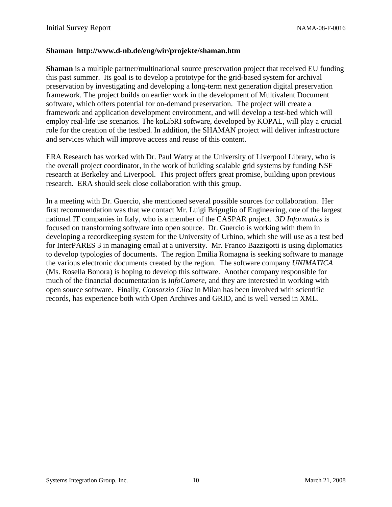#### **Shaman http://www.d-nb.de/eng/wir/projekte/shaman.htm**

**Shaman** is a multiple partner/multinational source preservation project that received EU funding this past summer. Its goal is to develop a prototype for the grid-based system for archival preservation by investigating and developing a long-term next generation digital preservation framework. The project builds on earlier work in the development of Multivalent Document software, which offers potential for on-demand preservation. The project will create a framework and application development environment, and will develop a test-bed which will employ real-life use scenarios. The koLibRI software, developed by KOPAL, will play a crucial role for the creation of the testbed. In addition, the SHAMAN project will deliver infrastructure and services which will improve access and reuse of this content.

ERA Research has worked with Dr. Paul Watry at the University of Liverpool Library, who is the overall project coordinator, in the work of building scalable grid systems by funding NSF research at Berkeley and Liverpool. This project offers great promise, building upon previous research. ERA should seek close collaboration with this group.

In a meeting with Dr. Guercio, she mentioned several possible sources for collaboration. Her first recommendation was that we contact Mr. Luigi Briguglio of Engineering, one of the largest national IT companies in Italy, who is a member of the CASPAR project. *3D Informatics* is focused on transforming software into open source. Dr. Guercio is working with them in developing a recordkeeping system for the University of Urbino, which she will use as a test bed for InterPARES 3 in managing email at a university. Mr. Franco Bazzigotti is using diplomatics to develop typologies of documents. The region Emilia Romagna is seeking software to manage the various electronic documents created by the region. The software company *UNIMATICA*  (Ms. Rosella Bonora) is hoping to develop this software. Another company responsible for much of the financial documentation is *InfoCamere*, and they are interested in working with open source software. Finally, *Consorzio Cilea* in Milan has been involved with scientific records, has experience both with Open Archives and GRID, and is well versed in XML.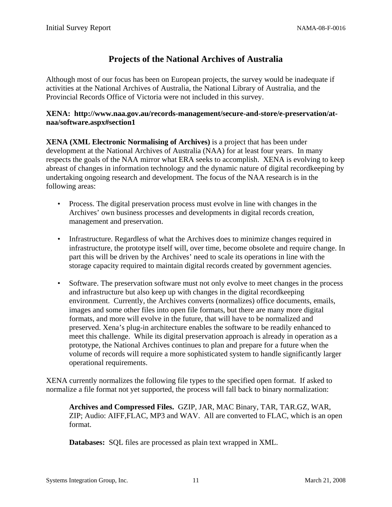### **Projects of the National Archives of Australia**

<span id="page-12-0"></span>Although most of our focus has been on European projects, the survey would be inadequate if activities at the National Archives of Australia, the National Library of Australia, and the Provincial Records Office of Victoria were not included in this survey.

#### **XENA: http://www.naa.gov.au/records-management/secure-and-store/e-preservation/atnaa/software.aspx#section1**

**XENA (XML Electronic Normalising of Archives)** is a project that has been under development at the National Archives of Australia (NAA) for at least four years. In many respects the goals of the NAA mirror what ERA seeks to accomplish. XENA is evolving to keep abreast of changes in information technology and the dynamic nature of digital recordkeeping by undertaking ongoing research and development. The focus of the NAA research is in the following areas:

- • Process. The digital preservation process must evolve in line with changes in the Archives' own business processes and developments in digital records creation, management and preservation.
- Infrastructure. Regardless of what the Archives does to minimize changes required in infrastructure, the prototype itself will, over time, become obsolete and require change. In part this will be driven by the Archives' need to scale its operations in line with the storage capacity required to maintain digital records created by government agencies.
- $\bullet$ Software. The preservation software must not only evolve to meet changes in the process and infrastructure but also keep up with changes in the digital recordkeeping environment. Currently, the Archives converts (normalizes) office documents, emails, images and some other files into open file formats, but there are many more digital formats, and more will evolve in the future, that will have to be normalized and preserved. Xena's plug-in architecture enables the software to be readily enhanced to meet this challenge. While its digital preservation approach is already in operation as a prototype, the National Archives continues to plan and prepare for a future when the volume of records will require a more sophisticated system to handle significantly larger operational requirements.

XENA currently normalizes the following file types to the specified open format. If asked to normalize a file format not yet supported, the process will fall back to binary normalization:

**Archives and Compressed Files.** GZIP, JAR, MAC Binary, TAR, TAR.GZ, WAR, ZIP; Audio: AIFF,FLAC, MP3 and WAV. All are converted to FLAC, which is an open format.

**Databases:** SQL files are processed as plain text wrapped in XML.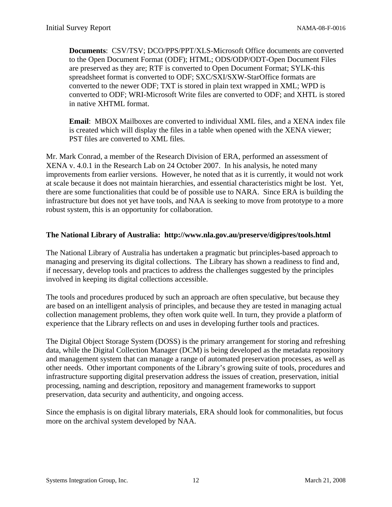**Documents**: CSV/TSV; DCO/PPS/PPT/XLS-Microsoft Office documents are converted to the Open Document Format (ODF); HTML; ODS/ODP/ODT-Open Document Files are preserved as they are; RTF is converted to Open Document Format; SYLK-this spreadsheet format is converted to ODF; SXC/SXI/SXW-StarOffice formats are converted to the newer ODF; TXT is stored in plain text wrapped in XML; WPD is converted to ODF; WRI-Microsoft Write files are converted to ODF; and XHTL is stored in native XHTML format.

**Email**: MBOX Mailboxes are converted to individual XML files, and a XENA index file is created which will display the files in a table when opened with the XENA viewer; PST files are converted to XML files.

Mr. Mark Conrad, a member of the Research Division of ERA, performed an assessment of XENA v. 4.0.1 in the Research Lab on 24 October 2007. In his analysis, he noted many improvements from earlier versions. However, he noted that as it is currently, it would not work at scale because it does not maintain hierarchies, and essential characteristics might be lost. Yet, there are some functionalities that could be of possible use to NARA. Since ERA is building the infrastructure but does not yet have tools, and NAA is seeking to move from prototype to a more robust system, this is an opportunity for collaboration.

#### **The National Library of Australia: http://www.nla.gov.au/preserve/digipres/tools.html**

The National Library of Australia has undertaken a pragmatic but principles-based approach to managing and preserving its digital collections. The Library has shown a readiness to find and, if necessary, develop tools and practices to address the challenges suggested by the principles involved in keeping its digital collections accessible.

The tools and procedures produced by such an approach are often speculative, but because they are based on an intelligent analysis of principles, and because they are tested in managing actual collection management problems, they often work quite well. In turn, they provide a platform of experience that the Library reflects on and uses in developing further tools and practices.

The Digital Object Storage System (DOSS) is the primary arrangement for storing and refreshing data, while the Digital Collection Manager (DCM) is being developed as the metadata repository and management system that can manage a range of automated preservation processes, as well as other needs. Other important components of the Library's growing suite of tools, procedures and infrastructure supporting digital preservation address the issues of creation, preservation, initial processing, naming and description, repository and management frameworks to support preservation, data security and authenticity, and ongoing access.

Since the emphasis is on digital library materials, ERA should look for commonalities, but focus more on the archival system developed by NAA.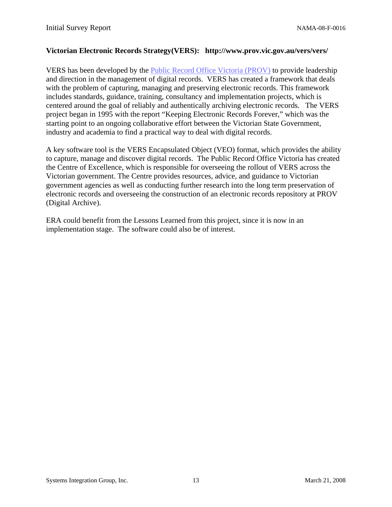#### **Victorian Electronic Records Strategy(VERS): http://www.prov.vic.gov.au/vers/vers/**

VERS has been developed by the Public Record Office Victoria (PROV) to provide leadership and direction in the management of digital records. VERS has created a framework that deals with the problem of capturing, managing and preserving electronic records. This framework includes standards, guidance, training, consultancy and implementation projects, which is centered around the goal of reliably and authentically archiving electronic records. The VERS project began in 1995 with the report "Keeping Electronic Records Forever," which was the starting point to an ongoing collaborative effort between the Victorian State Government, industry and academia to find a practical way to deal with digital records.

A key software tool is the VERS Encapsulated Object (VEO) format, which provides the ability to capture, manage and discover digital records. The Public Record Office Victoria has created the Centre of Excellence, which is responsible for overseeing the rollout of VERS across the Victorian government. The Centre provides resources, advice, and guidance to Victorian government agencies as well as conducting further research into the long term preservation of electronic records and overseeing the construction of an electronic records repository at PROV (Digital Archive).

ERA could benefit from the Lessons Learned from this project, since it is now in an implementation stage. The software could also be of interest.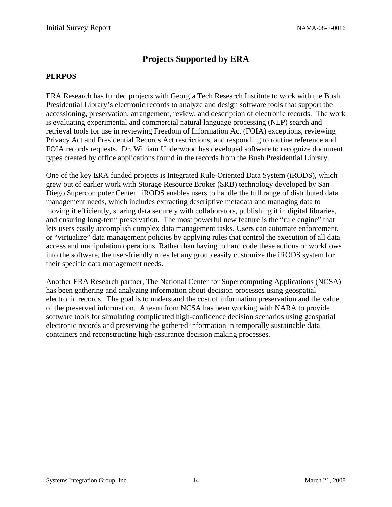### **Projects Supported by ERA**

#### <span id="page-15-0"></span>**PERPOS**

ERA Research has funded projects with Georgia Tech Research Institute to work with the Bush Presidential Library's electronic records to analyze and design software tools that support the accessioning, preservation, arrangement, review, and description of electronic records. The work is evaluating experimental and commercial natural language processing (NLP) search and retrieval tools for use in reviewing Freedom of Information Act (FOIA) exceptions, reviewing Privacy Act and Presidential Records Act restrictions, and responding to routine reference and FOIA records requests. Dr. William Underwood has developed software to recognize document types created by office applications found in the records from the Bush Presidential Library.

One of the key ERA funded projects is Integrated Rule-Oriented Data System (iRODS), which grew out of earlier work with Storage Resource Broker (SRB) technology developed by San Diego Supercomputer Center. iRODS enables users to handle the full range of distributed data management needs, which includes extracting descriptive metadata and managing data to moving it efficiently, sharing data securely with collaborators, publishing it in digital libraries, and ensuring long-term preservation. The most powerful new feature is the "rule engine" that lets users easily accomplish complex data management tasks. Users can automate enforcement, or "virtualize" data management policies by applying rules that control the execution of all data access and manipulation operations. Rather than having to hard code these actions or workflows into the software, the user-friendly rules let any group easily customize the iRODS system for their specific data management needs.

Another ERA Research partner, The National Center for Supercomputing Applications (NCSA) has been gathering and analyzing information about decision processes using geospatial electronic records. The goal is to understand the cost of information preservation and the value of the preserved information. A team from NCSA has been working with NARA to provide software tools for simulating complicated high-confidence decision scenarios using geospatial electronic records and preserving the gathered information in temporally sustainable data containers and reconstructing high-assurance decision making processes.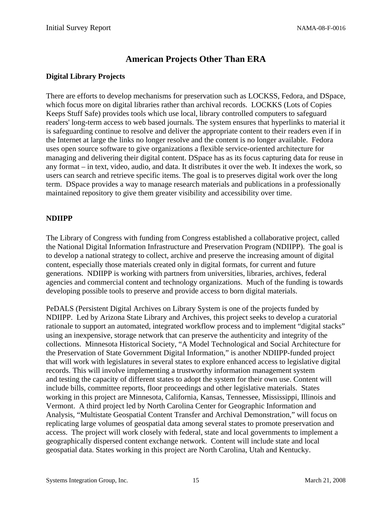## **American Projects Other Than ERA**

#### <span id="page-16-0"></span>**Digital Library Projects**

There are efforts to develop mechanisms for preservation such as LOCKSS, Fedora, and DSpace, which focus more on digital libraries rather than archival records. LOCKKS (Lots of Copies Keeps Stuff Safe) provides tools which use local, library controlled computers to safeguard readers' long-term access to web based journals. The system ensures that hyperlinks to material it is safeguarding continue to resolve and deliver the appropriate content to their readers even if in the Internet at large the links no longer resolve and the content is no longer available. Fedora uses open source software to give organizations a flexible service-oriented architecture for managing and delivering their digital content. DSpace has as its focus capturing data for reuse in any format – in text, video, audio, and data. It distributes it over the web. It indexes the work, so users can search and retrieve specific items. The goal is to preserves digital work over the long term. DSpace provides a way to manage research materials and publications in a professionally maintained repository to give them greater visibility and accessibility over time.

#### **NDIIPP**

The Library of Congress with funding from Congress established a collaborative project, called the National Digital Information Infrastructure and Preservation Program (NDIIPP). The goal is to develop a national strategy to collect, archive and preserve the increasing amount of digital content, especially those materials created only in digital formats, for current and future generations. NDIIPP is working with partners from universities, libraries, archives, federal agencies and commercial content and technology organizations. Much of the funding is towards developing possible tools to preserve and provide access to born digital materials.

PeDALS (Persistent Digital Archives on Library System is one of the projects funded by NDIIPP. Led by Arizona State Library and Archives, this project seeks to develop a curatorial rationale to support an automated, integrated workflow process and to implement "digital stacks" using an inexpensive, storage network that can preserve the authenticity and integrity of the collections. Minnesota Historical Society, "A Model Technological and Social Architecture for the Preservation of State Government Digital Information," is another NDIIPP-funded project that will work with legislatures in several states to explore enhanced access to legislative digital records. This will involve implementing a trustworthy information management system and testing the capacity of different states to adopt the system for their own use. Content will include bills, committee reports, floor proceedings and other legislative materials. States working in this project are Minnesota, California, Kansas, Tennessee, Mississippi, Illinois and Vermont. A third project led by North Carolina Center for Geographic Information and Analysis, "Multistate Geospatial Content Transfer and Archival Demonstration," will focus on replicating large volumes of geospatial data among several states to promote preservation and access. The project will work closely with federal, state and local governments to implement a geographically dispersed content exchange network. Content will include state and local geospatial data. States working in this project are North Carolina, Utah and Kentucky.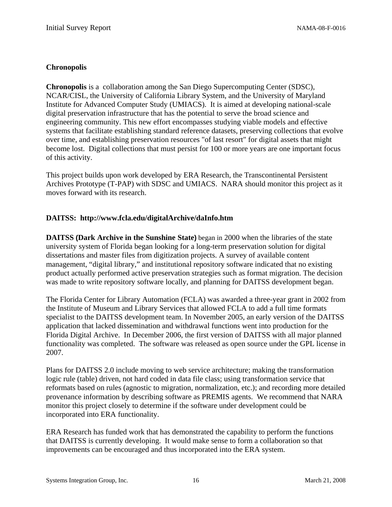#### <span id="page-17-0"></span>**Chronopolis**

**Chronopolis** is a collaboration among the San Diego Supercomputing Center (SDSC), NCAR/CISL, the University of California Library System, and the University of Maryland Institute for Advanced Computer Study (UMIACS). It is aimed at developing national-scale digital preservation infrastructure that has the potential to serve the broad science and engineering community. This new effort encompasses studying viable models and effective systems that facilitate establishing standard reference datasets, preserving collections that evolve over time, and establishing preservation resources "of last resort" for digital assets that might become lost. Digital collections that must persist for 100 or more years are one important focus of this activity.

This project builds upon work developed by ERA Research, the Transcontinental Persistent Archives Prototype (T-PAP) with SDSC and UMIACS. NARA should monitor this project as it moves forward with its research.

#### **DAITSS: http://www.fcla.edu/digitalArchive/daInfo.htm**

**DAITSS (Dark Archive in the Sunshine State)** began in 2000 when the libraries of the state university system of Florida began looking for a long-term preservation solution for digital dissertations and master files from digitization projects. A survey of available content management, "digital library," and institutional repository software indicated that no existing product actually performed active preservation strategies such as format migration. The decision was made to write repository software locally, and planning for DAITSS development began.

The Florida Center for Library Automation (FCLA) was awarded a three-year grant in 2002 from the Institute of Museum and Library Services that allowed FCLA to add a full time formats specialist to the DAITSS development team. In November 2005, an early version of the DAITSS application that lacked dissemination and withdrawal functions went into production for the Florida Digital Archive. In December 2006, the first version of DAITSS with all major planned functionality was completed. The software was released as open source under the GPL license in 2007.

Plans for DAITSS 2.0 include moving to web service architecture; making the transformation logic rule (table) driven, not hard coded in data file class; using transformation service that reformats based on rules (agnostic to migration, normalization, etc.); and recording more detailed provenance information by describing software as PREMIS agents. We recommend that NARA monitor this project closely to determine if the software under development could be incorporated into ERA functionality.

ERA Research has funded work that has demonstrated the capability to perform the functions that DAITSS is currently developing. It would make sense to form a collaboration so that improvements can be encouraged and thus incorporated into the ERA system.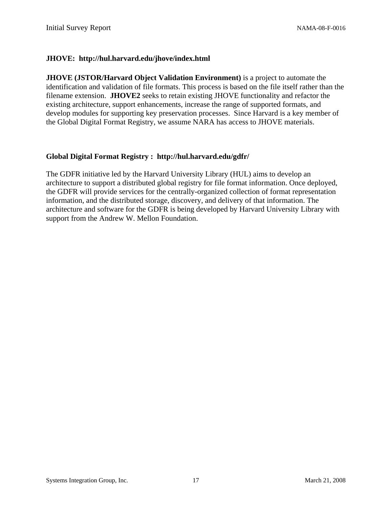#### **JHOVE: http://hul.harvard.edu/jhove/index.html**

**JHOVE (JSTOR/Harvard Object Validation Environment)** is a project to automate the identification and validation of file formats. This process is based on the file itself rather than the filename extension. **JHOVE2** seeks to retain existing JHOVE functionality and refactor the existing architecture, support enhancements, increase the range of supported formats, and develop modules for supporting key preservation processes. Since Harvard is a key member of the Global Digital Format Registry, we assume NARA has access to JHOVE materials.

#### **Global Digital Format Registry : http://hul.harvard.edu/gdfr/**

The GDFR initiative led by the Harvard University Library (HUL) aims to develop an architecture to support a distributed global registry for file format information. Once deployed, the GDFR will provide services for the centrally-organized collection of format representation information, and the distributed storage, discovery, and delivery of that information. The architecture and software for the GDFR is being developed by Harvard University Library with support from the Andrew W. Mellon Foundation.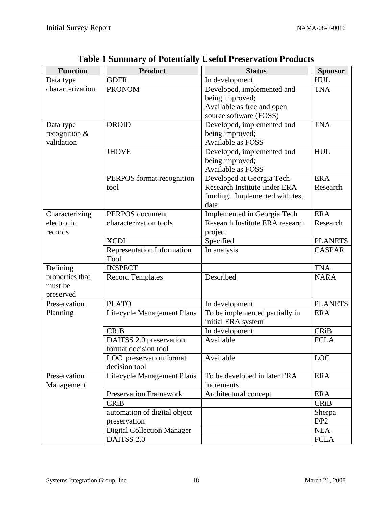| <b>Function</b>  | <b>Product</b>                    | <b>Status</b>                   | <b>Sponsor</b>  |
|------------------|-----------------------------------|---------------------------------|-----------------|
| Data type        | <b>GDFR</b>                       | In development                  | <b>HUL</b>      |
| characterization | <b>PRONOM</b>                     | Developed, implemented and      | <b>TNA</b>      |
|                  |                                   | being improved;                 |                 |
|                  |                                   | Available as free and open      |                 |
|                  |                                   | source software (FOSS)          |                 |
| Data type        | <b>DROID</b>                      | Developed, implemented and      | <b>TNA</b>      |
| recognition $&$  |                                   | being improved;                 |                 |
| validation       |                                   | Available as FOSS               |                 |
|                  | <b>JHOVE</b>                      | Developed, implemented and      | <b>HUL</b>      |
|                  |                                   | being improved;                 |                 |
|                  |                                   | Available as FOSS               |                 |
|                  | PERPOS format recognition         | Developed at Georgia Tech       | <b>ERA</b>      |
|                  | tool                              | Research Institute under ERA    | Research        |
|                  |                                   | funding. Implemented with test  |                 |
|                  |                                   | data                            |                 |
| Characterizing   | PERPOS document                   | Implemented in Georgia Tech     | <b>ERA</b>      |
| electronic       | characterization tools            | Research Institute ERA research | Research        |
| records          |                                   | project                         |                 |
|                  | <b>XCDL</b>                       | Specified                       | <b>PLANETS</b>  |
|                  | <b>Representation Information</b> | In analysis                     | <b>CASPAR</b>   |
|                  | Tool                              |                                 |                 |
| Defining         | <b>INSPECT</b>                    |                                 | <b>TNA</b>      |
| properties that  | <b>Record Templates</b>           | Described                       | <b>NARA</b>     |
| must be          |                                   |                                 |                 |
| preserved        |                                   |                                 |                 |
| Preservation     | <b>PLATO</b>                      | In development                  | <b>PLANETS</b>  |
| Planning         | <b>Lifecycle Management Plans</b> | To be implemented partially in  | <b>ERA</b>      |
|                  |                                   | initial ERA system              |                 |
|                  | <b>CRiB</b>                       | In development                  | <b>CRiB</b>     |
|                  | DAITSS 2.0 preservation           | Available                       | <b>FCLA</b>     |
|                  | format decision tool              |                                 |                 |
|                  | LOC preservation format           | Available                       | LOC             |
|                  | decision tool                     |                                 |                 |
| Preservation     | <b>Lifecycle Management Plans</b> | To be developed in later ERA    | <b>ERA</b>      |
| Management       |                                   | increments                      |                 |
|                  | <b>Preservation Framework</b>     | Architectural concept           | <b>ERA</b>      |
|                  | <b>CRiB</b>                       |                                 | <b>CRiB</b>     |
|                  | automation of digital object      |                                 | Sherpa          |
|                  | preservation                      |                                 | DP <sub>2</sub> |
|                  | <b>Digital Collection Manager</b> |                                 | <b>NLA</b>      |
|                  | DAITSS 2.0                        |                                 | <b>FCLA</b>     |

**Table 1 Summary of Potentially Useful Preservation Products**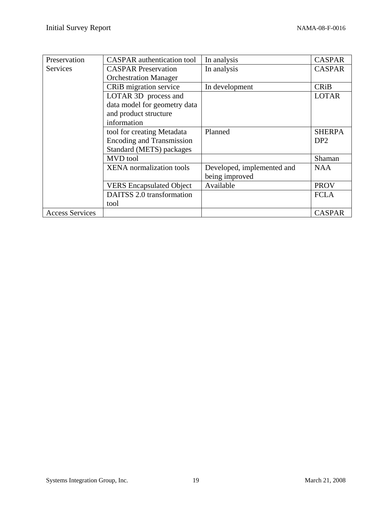| Preservation           | <b>CASPAR</b> authentication tool | In analysis                | <b>CASPAR</b>   |
|------------------------|-----------------------------------|----------------------------|-----------------|
| Services               | <b>CASPAR Preservation</b>        | In analysis                | <b>CASPAR</b>   |
|                        | <b>Orchestration Manager</b>      |                            |                 |
|                        | CRiB migration service            | In development             | <b>CRiB</b>     |
|                        | LOTAR 3D process and              |                            | <b>LOTAR</b>    |
|                        | data model for geometry data      |                            |                 |
|                        | and product structure             |                            |                 |
|                        | information                       |                            |                 |
|                        | tool for creating Metadata        | Planned                    | <b>SHERPA</b>   |
|                        | <b>Encoding and Transmission</b>  |                            | DP <sub>2</sub> |
|                        | Standard (METS) packages          |                            |                 |
|                        | <b>MVD</b> tool                   |                            | Shaman          |
|                        | <b>XENA</b> normalization tools   | Developed, implemented and | <b>NAA</b>      |
|                        |                                   | being improved             |                 |
|                        | <b>VERS</b> Encapsulated Object   | Available                  | <b>PROV</b>     |
|                        | DAITSS 2.0 transformation         |                            | <b>FCLA</b>     |
|                        | tool                              |                            |                 |
| <b>Access Services</b> |                                   |                            | <b>CASPAR</b>   |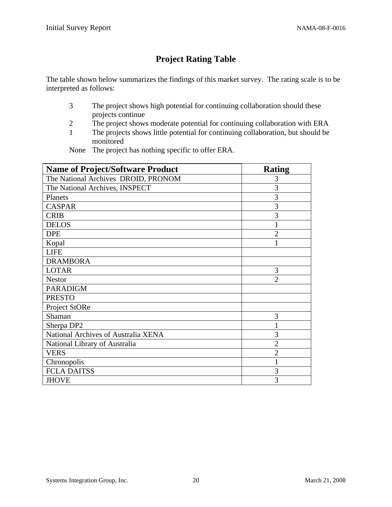## **Project Rating Table**

The table shown below summarizes the findings of this market survey. The rating scale is to be interpreted as follows:

- 3 The project shows high potential for continuing collaboration should these projects continue
- 2 The project shows moderate potential for continuing collaboration with ERA
- 1 The projects shows little potential for continuing collaboration, but should be monitored

None The project has nothing specific to offer ERA.

| <b>Name of Project/Software Product</b> | Rating                      |
|-----------------------------------------|-----------------------------|
| The National Archives DROID, PRONOM     | 3                           |
| The National Archives, INSPECT          | 3                           |
| Planets                                 | 3                           |
| <b>CASPAR</b>                           | 3                           |
| <b>CRIB</b>                             | 3                           |
| <b>DELOS</b>                            |                             |
| <b>DPE</b>                              | $\overline{2}$              |
| Kopal                                   |                             |
| <b>LIFE</b>                             |                             |
| <b>DRAMBORA</b>                         |                             |
| <b>LOTAR</b>                            | 3                           |
| <b>Nestor</b>                           | $\mathcal{D}_{\mathcal{L}}$ |
| <b>PARADIGM</b>                         |                             |
| <b>PRESTO</b>                           |                             |
| Project StORe                           |                             |
| Shaman                                  | 3                           |
| Sherpa DP2                              |                             |
| National Archives of Australia XENA     | 3                           |
| National Library of Australia           | $\overline{2}$              |
| <b>VERS</b>                             | $\overline{2}$              |
| Chronopolis                             |                             |
| <b>FCLA DAITSS</b>                      | 3                           |
| <b>JHOVE</b>                            | 3                           |